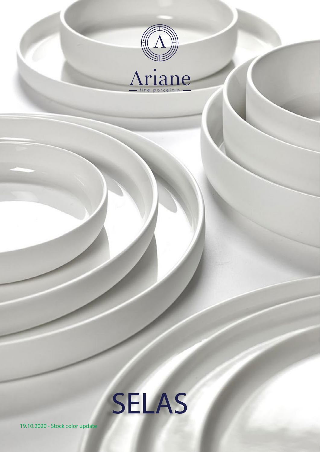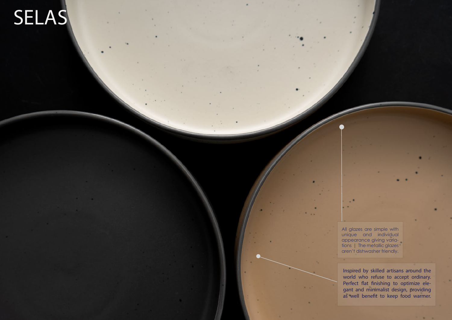Inspired by skilled artisans around the world who refuse to accept ordinary. Perfect flat finishing to optimize elegant and minimalist design, providing as well benefit to keep food warmer.

# SELAS

All glazes are simple with unique and individual appearance giving variations | The metallic glazes aren't dishwasher friendly.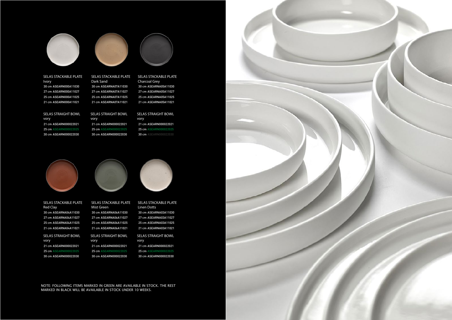Ivory

## SELAS STRAIGHT BOWL

SELAS STRAIGHT BOWL vory

SELAS STACKABLE PLATE

Charcoal Grey







SELAS STACKABLE PLATE 30 cm ASEARN000A11030 27 cm ASEARN000A11027 25 cm ASEARN000A11025 21 cm ASEARN000A11021 21 cm ASEARNA07A11021

#### SELAS STACKABLE PLATE Linen Dotts

NOTE: FOLLOWING ITEMS MARKED IN GREEN ARE AVAILABLE IN STOCK. THE REST MARKED IN BLACK WILL BE AVAILABLE IN STOCK UNDER 10 WEEKS.



#### SELAS STACKABLE PLATE Dark Sand 30 cm ASEARNA07A11030 27 cm ASEARNA07A11027 25 cm ASEARNA07A11025

SELAS STRAIGHT BOWL vory 21 cm ASEARN000022021 25 cm ASEARN000022025 30 cm ASEARN000022030

## SELAS STRAIGHT BOWL 21 cm ASEARNA05A11021

vory 21 cm ASEARN000022021 25 cm ASEARN000022025 30 cm ASEARN000022030

vory 21 cm ASEARN000022021 25 cm ASEARN000022025 30 cm ASEARN000022030



SELAS STACKABLE PLATE Red Clay 30 cm ASEARNA04A11030 27 cm ASEARNA04A11027 25 cm ASEARNA04A11025 21 cm ASEARNA04A11021

SELAS STRAIGHT BOWL vory 21 cm ASEARN000022021 25 cm ASEARN000022025 30 cm ASEARN000022030



30 cm ASEARNA05A11030 27 cm ASEARNA05A11027 25 cm ASEARNA05A11025

SELAS STRAIGHT BOWL vory 21 cm ASEARN000022021

30 cm ASEARNA06A11030 27 cm ASEARNA06A11027 25 cm ASEARNA06A11025 21 cm ASEARNA06A11021

30 cm ASEARNA03A11030 27 cm ASEARNA03A11027 25 cm ASEARNA03A11025 21 cm ASEARNA03A11021

21 cm ASEARN000022021 25 cm ASEARN000022025 30 cm ASEARN000022030

25 cm ASEARN000022025 30 cm ASEARN000022030